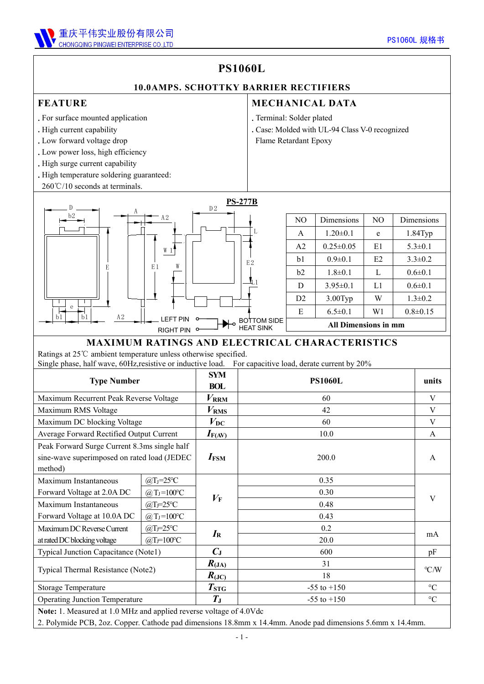

## **PS1060L**

#### **10.0AMPS. SCHOTTKY BARRIER RECTIFIERS**

#### **FEATURE**

- .For surface mounted application
- .High current capability
- .Low forward voltage drop
- .Low power loss, high efficiency
- . High surge current capability
- .High temperature soldering guaranteed:
- 

- .Terminal: Solder plated
- **EXENURE**<br>
For surface mounted application<br>
High current capability<br>
Low forward voltage drop<br>
Low forward voltage drop<br>
Low power loss, high efficiency<br>
High surge current capability<br>
High temperature soldering guarantee .Case: Molded with UL-94 Class V-0 recognized
	- Flame Retardant Epoxy



|                              | N <sub>O</sub>              | Dimensions      | NO. | Dimensions     |  |  |
|------------------------------|-----------------------------|-----------------|-----|----------------|--|--|
|                              | A                           | $1.20 \pm 0.1$  | e   | $1.84$ Typ     |  |  |
|                              | A <sub>2</sub>              | $0.25 \pm 0.05$ | E1  | $5.3 \pm 0.1$  |  |  |
| E2                           | b <sub>1</sub>              | $0.9 \pm 0.1$   | E2  | $3.3 \pm 0.2$  |  |  |
|                              | b2                          | $1.8 \pm 0.1$   | L   | $0.6 \pm 0.1$  |  |  |
|                              | D                           | $3.95 \pm 0.1$  | L1  | $0.6 \pm 0.1$  |  |  |
|                              | D <sub>2</sub>              | $3.00$ Typ      | W   | $1.3 \pm 0.2$  |  |  |
|                              | E                           | $6.5 \pm 0.1$   | W1  | $0.8 \pm 0.15$ |  |  |
| DTTOM SIDE<br>$M$ $\sim$ $N$ | <b>All Dimensions in mm</b> |                 |     |                |  |  |

#### **MAXIMUM RATINGS AND ELECTRICAL CHARACTERISTICS**

Ratings at 25℃ ambient temperature unless otherwise specified. Single phase, half wave, 60Hz,resistive or inductive load. For capacitive load, derate current by 20%

| <b>Type Number</b>                                                                                     |                                                          | <b>SYM</b><br><b>BOL</b>                                    | <b>PS1060L</b>  | units           |  |
|--------------------------------------------------------------------------------------------------------|----------------------------------------------------------|-------------------------------------------------------------|-----------------|-----------------|--|
| Maximum Recurrent Peak Reverse Voltage                                                                 |                                                          | $V_{\rm RRM}$                                               | 60              | V               |  |
| Maximum RMS Voltage                                                                                    |                                                          | $V_{\rm RMS}$                                               | 42              | V               |  |
| Maximum DC blocking Voltage                                                                            |                                                          | $V_{\rm DC}$                                                | 60              | V               |  |
| Average Forward Rectified Output Current                                                               |                                                          | $I_{F(AV)}$                                                 | 10.0            | A               |  |
| Peak Forward Surge Current 8.3ms single half<br>sine-wave superimposed on rated load (JEDEC<br>method) |                                                          | $I_{\text{FSM}}$                                            | 200.0           | A               |  |
| Maximum Instantaneous<br>Forward Voltage at 2.0A DC                                                    | $@T_J=25°C$<br>$\omega_{\text{J}} = 100^{\circ}\text{C}$ | $V_{\rm F}$                                                 | 0.35<br>0.30    |                 |  |
| Maximum Instantaneous<br>Forward Voltage at 10.0A DC                                                   | $@T = 25°C$<br>@ $T_J = 100^{\circ}C$                    |                                                             | 0.48<br>0.43    | V               |  |
| Maximum DC Reverse Current<br>at rated DC blocking voltage                                             | $@T = 25°C$<br>$@T = 100°C$                              | $I_{\rm R}$                                                 | 0.2<br>20.0     | mA              |  |
| Typical Junction Capacitance (Note1)                                                                   |                                                          | $C_{\rm J}$                                                 | 600             | pF              |  |
| Typical Thermal Resistance (Note2)                                                                     |                                                          | $R_{\rm (JA)}$<br>$R_{\left( \mathrm{J}\mathrm{C}\right) }$ | 31<br>18        | $\mathrm{C/W}$  |  |
| Storage Temperature                                                                                    |                                                          | $T_{\mathrm{STG}}$                                          | $-55$ to $+150$ | $\rm ^{\circ}C$ |  |
| <b>Operating Junction Temperature</b>                                                                  |                                                          | $T_{\rm J}$                                                 | $-55$ to $+150$ | $\rm ^{\circ}C$ |  |
| Note: 1. Measured at 1.0 MHz and applied reverse voltage of 4.0Vdc                                     |                                                          |                                                             |                 |                 |  |

2. Polymide PCB, 2oz. Copper. Cathode pad dimensions 18.8mm x 14.4mm. Anode pad dimensions 5.6mm x 14.4mm.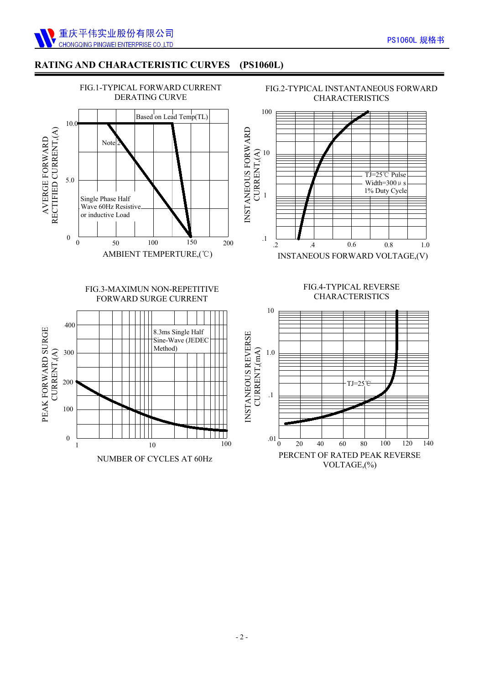

### **RATING AND CHARACTERISTIC CURVES (PS1060L)**



NUMBER OF CYCLES AT 60Hz

PERCENT OF RATED PEAK REVERSE VOLTAGE,(%)